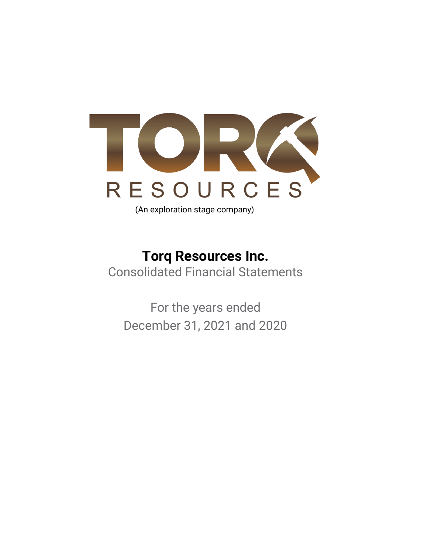

# **Torq Resources Inc.** Consolidated Financial Statements

For the years ended December 31, 2021 and 2020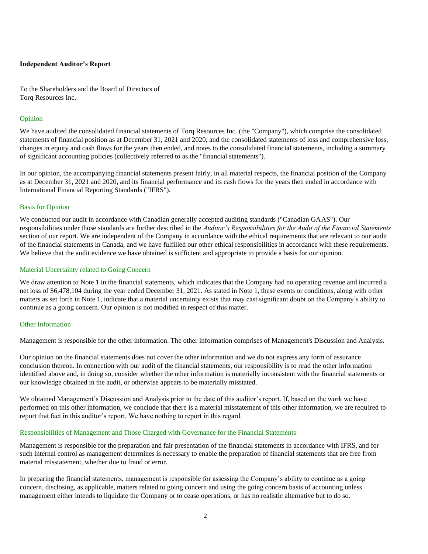### **Independent Auditor's Report**

To the Shareholders and the Board of Directors of Torq Resources Inc.

### Opinion

We have audited the consolidated financial statements of Torq Resources Inc. (the "Company"), which comprise the consolidated statements of financial position as at December 31, 2021 and 2020, and the consolidated statements of loss and comprehensive loss, changes in equity and cash flows for the years then ended, and notes to the consolidated financial statements, including a summary of significant accounting policies (collectively referred to as the "financial statements").

In our opinion, the accompanying financial statements present fairly, in all material respects, the financial position of the Company as at December 31, 2021 and 2020, and its financial performance and its cash flows for the years then ended in accordance with International Financial Reporting Standards ("IFRS").

### Basis for Opinion

We conducted our audit in accordance with Canadian generally accepted auditing standards ("Canadian GAAS"). Our responsibilities under those standards are further described in the *Auditor's Responsibilities for the Audit of the Financial Statements* section of our report. We are independent of the Company in accordance with the ethical requirements that are relevant to our audit of the financial statements in Canada, and we have fulfilled our other ethical responsibilities in accordance with these requirements. We believe that the audit evidence we have obtained is sufficient and appropriate to provide a basis for our opinion.

### Material Uncertainty related to Going Concern

We draw attention to Note 1 in the financial statements, which indicates that the Company had no operating revenue and incurred a net loss of \$6,478,104 during the year ended December 31, 2021. As stated in Note 1, these events or conditions, along with other matters as set forth in Note 1, indicate that a material uncertainty exists that may cast significant doubt on the Company's ability to continue as a going concern. Our opinion is not modified in respect of this matter.

#### Other Information

Management is responsible for the other information. The other information comprises of Management's Discussion and Analysis.

Our opinion on the financial statements does not cover the other information and we do not express any form of assurance conclusion thereon. In connection with our audit of the financial statements, our responsibility is to read the other information identified above and, in doing so, consider whether the other information is materially inconsistent with the financial statements or our knowledge obtained in the audit, or otherwise appears to be materially misstated.

We obtained Management's Discussion and Analysis prior to the date of this auditor's report. If, based on the work we have performed on this other information, we conclude that there is a material misstatement of this other information, we are required to report that fact in this auditor's report. We have nothing to report in this regard.

#### Responsibilities of Management and Those Charged with Governance for the Financial Statements

Management is responsible for the preparation and fair presentation of the financial statements in accordance with IFRS, and for such internal control as management determines is necessary to enable the preparation of financial statements that are free from material misstatement, whether due to fraud or error.

In preparing the financial statements, management is responsible for assessing the Company's ability to continue as a going concern, disclosing, as applicable, matters related to going concern and using the going concern basis of accounting unless management either intends to liquidate the Company or to cease operations, or has no realistic alternative but to do so.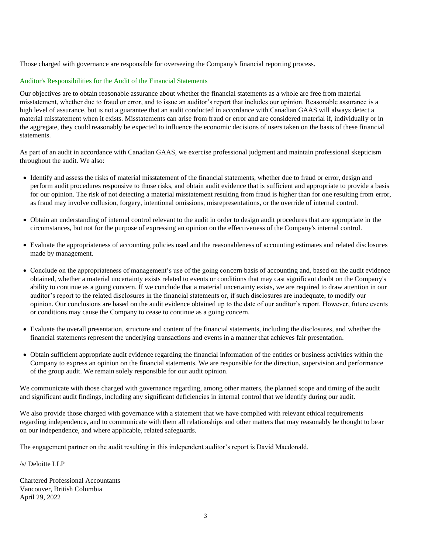Those charged with governance are responsible for overseeing the Company's financial reporting process.

### Auditor's Responsibilities for the Audit of the Financial Statements

Our objectives are to obtain reasonable assurance about whether the financial statements as a whole are free from material misstatement, whether due to fraud or error, and to issue an auditor's report that includes our opinion. Reasonable assurance is a high level of assurance, but is not a guarantee that an audit conducted in accordance with Canadian GAAS will always detect a material misstatement when it exists. Misstatements can arise from fraud or error and are considered material if, individually or in the aggregate, they could reasonably be expected to influence the economic decisions of users taken on the basis of these financial statements.

As part of an audit in accordance with Canadian GAAS, we exercise professional judgment and maintain professional skepticism throughout the audit. We also:

- Identify and assess the risks of material misstatement of the financial statements, whether due to fraud or error, design and perform audit procedures responsive to those risks, and obtain audit evidence that is sufficient and appropriate to provide a basis for our opinion. The risk of not detecting a material misstatement resulting from fraud is higher than for one resulting from error, as fraud may involve collusion, forgery, intentional omissions, misrepresentations, or the override of internal control.
- Obtain an understanding of internal control relevant to the audit in order to design audit procedures that are appropriate in the circumstances, but not for the purpose of expressing an opinion on the effectiveness of the Company's internal control.
- Evaluate the appropriateness of accounting policies used and the reasonableness of accounting estimates and related disclosures made by management.
- Conclude on the appropriateness of management's use of the going concern basis of accounting and, based on the audit evidence obtained, whether a material uncertainty exists related to events or conditions that may cast significant doubt on the Company's ability to continue as a going concern. If we conclude that a material uncertainty exists, we are required to draw attention in our auditor's report to the related disclosures in the financial statements or, if such disclosures are inadequate, to modify our opinion. Our conclusions are based on the audit evidence obtained up to the date of our auditor's report. However, future events or conditions may cause the Company to cease to continue as a going concern.
- Evaluate the overall presentation, structure and content of the financial statements, including the disclosures, and whether the financial statements represent the underlying transactions and events in a manner that achieves fair presentation.
- Obtain sufficient appropriate audit evidence regarding the financial information of the entities or business activities within the Company to express an opinion on the financial statements. We are responsible for the direction, supervision and performance of the group audit. We remain solely responsible for our audit opinion.

We communicate with those charged with governance regarding, among other matters, the planned scope and timing of the audit and significant audit findings, including any significant deficiencies in internal control that we identify during our audit.

We also provide those charged with governance with a statement that we have complied with relevant ethical requirements regarding independence, and to communicate with them all relationships and other matters that may reasonably be thought to bear on our independence, and where applicable, related safeguards.

The engagement partner on the audit resulting in this independent auditor's report is David Macdonald.

/s/ Deloitte LLP

Chartered Professional Accountants Vancouver, British Columbia April 29, 2022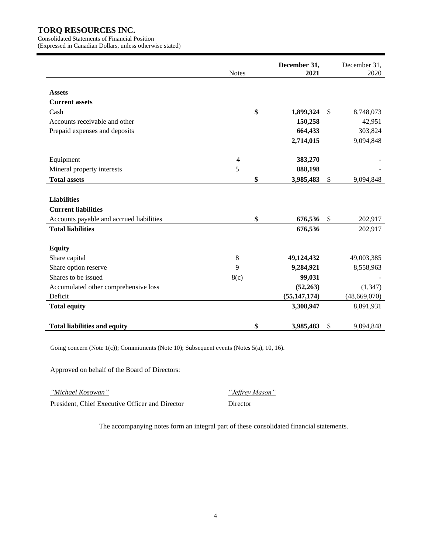Consolidated Statements of Financial Position

(Expressed in Canadian Dollars, unless otherwise stated)

|                                                  | <b>Notes</b>   | December 31,<br>2021 |              | December 31,<br>2020 |
|--------------------------------------------------|----------------|----------------------|--------------|----------------------|
| <b>Assets</b>                                    |                |                      |              |                      |
| <b>Current assets</b>                            |                |                      |              |                      |
| Cash                                             | \$             | 1,899,324            | $\mathbb{S}$ | 8,748,073            |
| Accounts receivable and other                    |                | 150,258              |              | 42,951               |
| Prepaid expenses and deposits                    |                | 664,433              |              | 303,824              |
|                                                  |                | 2,714,015            |              | 9,094,848            |
| Equipment                                        | $\overline{4}$ | 383,270              |              |                      |
| Mineral property interests                       | 5              | 888,198              |              |                      |
| <b>Total assets</b>                              | \$             | 3,985,483            | \$           | 9,094,848            |
| <b>Liabilities</b><br><b>Current liabilities</b> |                |                      |              |                      |
| Accounts payable and accrued liabilities         | \$             | 676,536              | $\mathbb{S}$ | 202,917              |
| <b>Total liabilities</b>                         |                | 676,536              |              | 202,917              |
| <b>Equity</b>                                    |                |                      |              |                      |
| Share capital                                    | 8              | 49,124,432           |              | 49,003,385           |
| Share option reserve                             | 9              | 9,284,921            |              | 8,558,963            |
| Shares to be issued                              | 8(c)           | 99,031               |              |                      |
| Accumulated other comprehensive loss             |                | (52, 263)            |              | (1, 347)             |
| Deficit                                          |                | (55, 147, 174)       |              | (48,669,070)         |
| <b>Total equity</b>                              |                | 3,308,947            |              | 8,891,931            |
| <b>Total liabilities and equity</b>              | \$             | 3,985,483            | \$           | 9,094,848            |

Going concern (Note 1(c)); Commitments (Note 10); Subsequent events (Notes 5(a), 10, 16).

Approved on behalf of the Board of Directors:

*"Michael Kosowan"* President, Chief Executive Officer and Director *"Jeffrey Mason"*

Director

The accompanying notes form an integral part of these consolidated financial statements.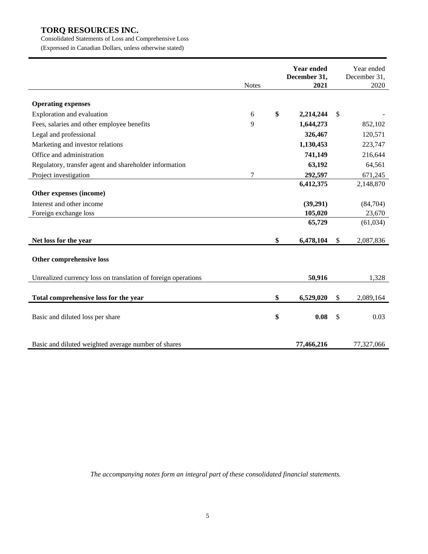Consolidated Statements of Loss and Comprehensive Loss

(Expressed in Canadian Dollars, unless otherwise stated)

|                                                               | <b>Notes</b> | <b>Year ended</b><br>December 31,<br>2021 |              | Year ended<br>December 31,<br>2020 |
|---------------------------------------------------------------|--------------|-------------------------------------------|--------------|------------------------------------|
| <b>Operating expenses</b>                                     |              |                                           |              |                                    |
| Exploration and evaluation                                    | 6            | \$<br>2,214,244                           | $\mathbb{S}$ |                                    |
| Fees, salaries and other employee benefits                    | 9            | 1,644,273                                 |              | 852,102                            |
| Legal and professional                                        |              | 326,467                                   |              | 120,571                            |
| Marketing and investor relations                              |              | 1,130,453                                 |              | 223,747                            |
| Office and administration                                     |              | 741,149                                   |              | 216,644                            |
| Regulatory, transfer agent and shareholder information        |              | 63,192                                    |              | 64,561                             |
| Project investigation                                         | 7            | 292,597                                   |              | 671,245                            |
|                                                               |              | 6,412,375                                 |              | 2,148,870                          |
| Other expenses (income)                                       |              |                                           |              |                                    |
| Interest and other income                                     |              | (39,291)                                  |              | (84,704)                           |
| Foreign exchange loss                                         |              | 105,020                                   |              | 23,670                             |
|                                                               |              | 65,729                                    |              | (61, 034)                          |
| Net loss for the year                                         |              | \$<br>6,478,104                           | \$           | 2,087,836                          |
| Other comprehensive loss                                      |              |                                           |              |                                    |
| Unrealized currency loss on translation of foreign operations |              | 50,916                                    |              | 1,328                              |
| Total comprehensive loss for the year                         |              | \$<br>6,529,020                           | \$           | 2,089,164                          |
| Basic and diluted loss per share                              |              | \$<br>0.08                                | \$           | 0.03                               |
| Basic and diluted weighted average number of shares           |              | 77,466,216                                |              | 77,327,066                         |

*The accompanying notes form an integral part of these consolidated financial statements.*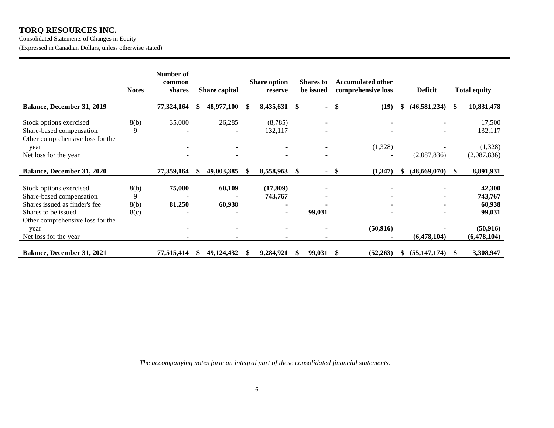Consolidated Statements of Changes in Equity

(Expressed in Canadian Dollars, unless otherwise stated)

|                                                                                          | <b>Notes</b>      | Number of<br>common<br>shares |    | Share capital                 |     | <b>Share option</b><br>reserve |     | <b>Shares</b> to<br>be issued      |     | <b>Accumulated other</b><br>comprehensive loss |   | <b>Deficit</b>                                       |     | <b>Total equity</b>                |
|------------------------------------------------------------------------------------------|-------------------|-------------------------------|----|-------------------------------|-----|--------------------------------|-----|------------------------------------|-----|------------------------------------------------|---|------------------------------------------------------|-----|------------------------------------|
| Balance, December 31, 2019                                                               |                   | 77,324,164                    | S  | 48,977,100                    | S   | 8,435,631                      | -SS | $\sim$                             | -\$ | (19)                                           | S | (46,581,234)                                         | S   | 10,831,478                         |
| Stock options exercised<br>Share-based compensation<br>Other comprehensive loss for the  | 8(b)<br>9         | 35,000                        |    | 26,285<br>۰                   |     | (8,785)<br>132,117             |     |                                    |     |                                                |   | $\overline{\phantom{a}}$<br>$\overline{\phantom{m}}$ |     | 17,500<br>132,117                  |
| year<br>Net loss for the year                                                            |                   |                               |    |                               |     |                                |     |                                    |     | (1,328)                                        |   | (2,087,836)                                          |     | (1,328)<br>(2,087,836)             |
| <b>Balance, December 31, 2020</b>                                                        |                   | 77,359,164                    | \$ | 49,003,385                    | S   | 8,558,963                      | -SS | $\blacksquare$                     | -SS | (1,347)                                        | S | (48,669,070)                                         | -SS | 8,891,931                          |
| Stock options exercised<br>Share-based compensation<br>Shares issued as finder's fee     | 8(b)<br>9<br>8(b) | 75,000<br>81,250              |    | 60,109<br>60,938              |     | (17, 809)<br>743,767           |     |                                    |     |                                                |   |                                                      |     | 42,300<br>743,767<br>60,938        |
| Shares to be issued<br>Other comprehensive loss for the<br>year<br>Net loss for the year | 8(c)              |                               |    | ۰<br>$\sim$<br>$\blacksquare$ |     |                                |     | 99,031<br>$\overline{\phantom{0}}$ |     | (50, 916)                                      |   | (6,478,104)                                          |     | 99,031<br>(50, 916)<br>(6,478,104) |
| Balance, December 31, 2021                                                               |                   | 77,515,414                    | S. | 49,124,432                    | SS. | 9,284,921                      |     | 99,031                             | \$  | (52, 263)                                      | S | (55, 147, 174)                                       | -SS | 3,308,947                          |

*The accompanying notes form an integral part of these consolidated financial statements.*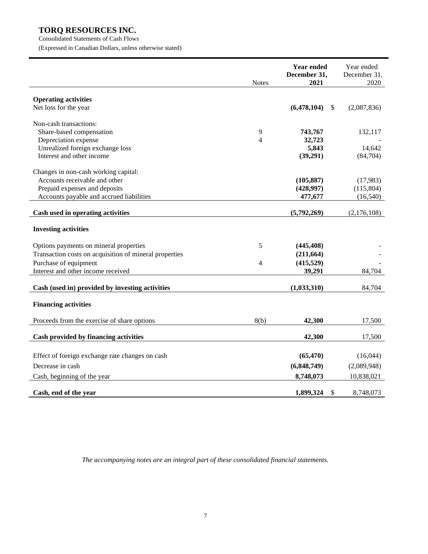Consolidated Statements of Cash Flows

(Expressed in Canadian Dollars, unless otherwise stated)

|                                                               | <b>Notes</b> | <b>Year ended</b><br>December 31,<br>2021 | Year ended<br>December 31.<br>2020 |
|---------------------------------------------------------------|--------------|-------------------------------------------|------------------------------------|
|                                                               |              |                                           |                                    |
| <b>Operating activities</b><br>Net loss for the year          |              | (6, 478, 104)<br>S.                       | (2,087,836)                        |
|                                                               |              |                                           |                                    |
| Non-cash transactions:                                        |              |                                           |                                    |
| Share-based compensation                                      | 9            | 743,767                                   | 132,117                            |
| Depreciation expense                                          | 4            | 32,723                                    |                                    |
| Unrealized foreign exchange loss<br>Interest and other income |              | 5,843<br>(39,291)                         | 14,642                             |
|                                                               |              |                                           | (84, 704)                          |
| Changes in non-cash working capital:                          |              |                                           |                                    |
| Accounts receivable and other                                 |              | (105, 887)                                | (17,983)                           |
| Prepaid expenses and deposits                                 |              | (428,997)                                 | (115,804)                          |
| Accounts payable and accrued liabilities                      |              | 477,677                                   | (16, 540)                          |
| Cash used in operating activities                             |              | (5,792,269)                               | (2,176,108)                        |
|                                                               |              |                                           |                                    |
| <b>Investing activities</b>                                   |              |                                           |                                    |
| Options payments on mineral properties                        | 5            | (445, 408)                                |                                    |
| Transaction costs on acquisition of mineral properties        |              | (211, 664)                                |                                    |
| Purchase of equipment                                         | 4            | (415, 529)                                |                                    |
| Interest and other income received                            |              | 39,291                                    | 84,704                             |
|                                                               |              |                                           |                                    |
| Cash (used in) provided by investing activities               |              | (1,033,310)                               | 84,704                             |
| <b>Financing activities</b>                                   |              |                                           |                                    |
| Proceeds from the exercise of share options                   | 8(b)         | 42,300                                    | 17,500                             |
| Cash provided by financing activities                         |              | 42,300                                    | 17,500                             |
|                                                               |              |                                           |                                    |
| Effect of foreign exchange rate changes on cash               |              | (65, 470)                                 | (16,044)                           |
| Decrease in cash                                              |              | (6,848,749)                               | (2,089,948)                        |
| Cash, beginning of the year                                   |              | 8,748,073                                 | 10,838,021                         |
|                                                               |              |                                           |                                    |
| Cash, end of the year                                         |              | 1,899,324<br>\$                           | 8,748,073                          |

*The accompanying notes are an integral part of these consolidated financial statements.*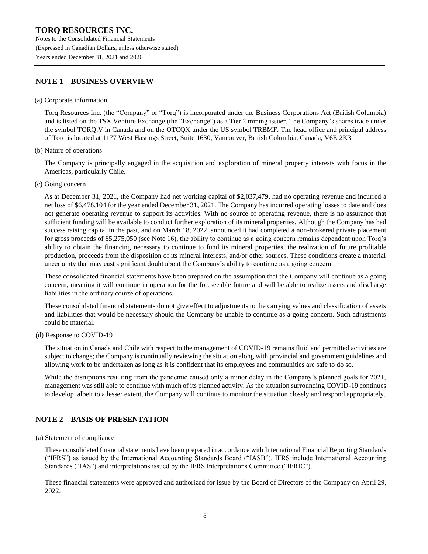### **TORQ RESOURCES INC.** Notes to the Consolidated Financial Statements (Expressed in Canadian Dollars, unless otherwise stated) Years ended December 31, 2021 and 2020

### **NOTE 1 – BUSINESS OVERVIEW**

### (a) Corporate information

Torq Resources Inc. (the "Company" or "Torq") is incorporated under the Business Corporations Act (British Columbia) and is listed on the TSX Venture Exchange (the "Exchange") as a Tier 2 mining issuer. The Company's shares trade under the symbol TORQ.V in Canada and on the OTCQX under the US symbol TRBMF. The head office and principal address of Torq is located at 1177 West Hastings Street, Suite 1630, Vancouver, British Columbia, Canada, V6E 2K3.

(b) Nature of operations

The Company is principally engaged in the acquisition and exploration of mineral property interests with focus in the Americas, particularly Chile.

(c) Going concern

As at December 31, 2021, the Company had net working capital of \$2,037,479, had no operating revenue and incurred a net loss of \$6,478,104 for the year ended December 31, 2021. The Company has incurred operating losses to date and does not generate operating revenue to support its activities. With no source of operating revenue, there is no assurance that sufficient funding will be available to conduct further exploration of its mineral properties. Although the Company has had success raising capital in the past, and on March 18, 2022, announced it had completed a non-brokered private placement for gross proceeds of \$5,275,050 (see Note 16), the ability to continue as a going concern remains dependent upon Torq's ability to obtain the financing necessary to continue to fund its mineral properties, the realization of future profitable production, proceeds from the disposition of its mineral interests, and/or other sources. These conditions create a material uncertainty that may cast significant doubt about the Company's ability to continue as a going concern.

These consolidated financial statements have been prepared on the assumption that the Company will continue as a going concern, meaning it will continue in operation for the foreseeable future and will be able to realize assets and discharge liabilities in the ordinary course of operations.

These consolidated financial statements do not give effect to adjustments to the carrying values and classification of assets and liabilities that would be necessary should the Company be unable to continue as a going concern. Such adjustments could be material.

(d) Response to COVID-19

The situation in Canada and Chile with respect to the management of COVID-19 remains fluid and permitted activities are subject to change; the Company is continually reviewing the situation along with provincial and government guidelines and allowing work to be undertaken as long as it is confident that its employees and communities are safe to do so.

While the disruptions resulting from the pandemic caused only a minor delay in the Company's planned goals for 2021, management was still able to continue with much of its planned activity. As the situation surrounding COVID-19 continues to develop, albeit to a lesser extent, the Company will continue to monitor the situation closely and respond appropriately.

# **NOTE 2 – BASIS OF PRESENTATION**

(a) Statement of compliance

These consolidated financial statements have been prepared in accordance with International Financial Reporting Standards ("IFRS") as issued by the International Accounting Standards Board ("IASB"). IFRS include International Accounting Standards ("IAS") and interpretations issued by the IFRS Interpretations Committee ("IFRIC").

These financial statements were approved and authorized for issue by the Board of Directors of the Company on April 29, 2022.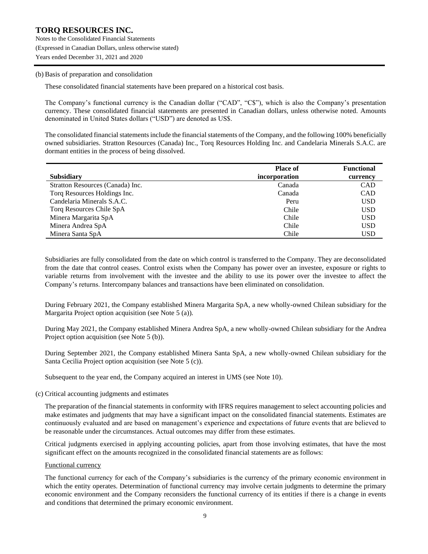Years ended December 31, 2021 and 2020

#### (b) Basis of preparation and consolidation

These consolidated financial statements have been prepared on a historical cost basis.

The Company's functional currency is the Canadian dollar ("CAD", "C\$"), which is also the Company's presentation currency. These consolidated financial statements are presented in Canadian dollars, unless otherwise noted. Amounts denominated in United States dollars ("USD") are denoted as US\$.

The consolidated financial statements include the financial statements of the Company, and the following 100% beneficially owned subsidiaries. Stratton Resources (Canada) Inc., Torq Resources Holding Inc. and Candelaria Minerals S.A.C. are dormant entities in the process of being dissolved.

|                                  | <b>Place of</b> | <b>Functional</b> |
|----------------------------------|-----------------|-------------------|
| <b>Subsidiary</b>                | incorporation   | currency          |
| Stratton Resources (Canada) Inc. | Canada          | <b>CAD</b>        |
| Torq Resources Holdings Inc.     | Canada          | <b>CAD</b>        |
| Candelaria Minerals S.A.C.       | Peru            | <b>USD</b>        |
| Torq Resources Chile SpA         | Chile           | USD               |
| Minera Margarita SpA             | Chile           | <b>USD</b>        |
| Minera Andrea SpA                | Chile           | <b>USD</b>        |
| Minera Santa SpA                 | Chile           | <b>USD</b>        |

Subsidiaries are fully consolidated from the date on which control is transferred to the Company. They are deconsolidated from the date that control ceases. Control exists when the Company has power over an investee, exposure or rights to variable returns from involvement with the investee and the ability to use its power over the investee to affect the Company's returns. Intercompany balances and transactions have been eliminated on consolidation.

During February 2021, the Company established Minera Margarita SpA, a new wholly-owned Chilean subsidiary for the Margarita Project option acquisition (see Note 5 (a)).

During May 2021, the Company established Minera Andrea SpA, a new wholly-owned Chilean subsidiary for the Andrea Project option acquisition (see Note 5 (b)).

During September 2021, the Company established Minera Santa SpA, a new wholly-owned Chilean subsidiary for the Santa Cecilia Project option acquisition (see Note 5 (c)).

Subsequent to the year end, the Company acquired an interest in UMS (see Note 10).

### (c) Critical accounting judgments and estimates

The preparation of the financial statements in conformity with IFRS requires management to select accounting policies and make estimates and judgments that may have a significant impact on the consolidated financial statements. Estimates are continuously evaluated and are based on management's experience and expectations of future events that are believed to be reasonable under the circumstances. Actual outcomes may differ from these estimates.

Critical judgments exercised in applying accounting policies, apart from those involving estimates, that have the most significant effect on the amounts recognized in the consolidated financial statements are as follows:

#### Functional currency

The functional currency for each of the Company's subsidiaries is the currency of the primary economic environment in which the entity operates. Determination of functional currency may involve certain judgments to determine the primary economic environment and the Company reconsiders the functional currency of its entities if there is a change in events and conditions that determined the primary economic environment.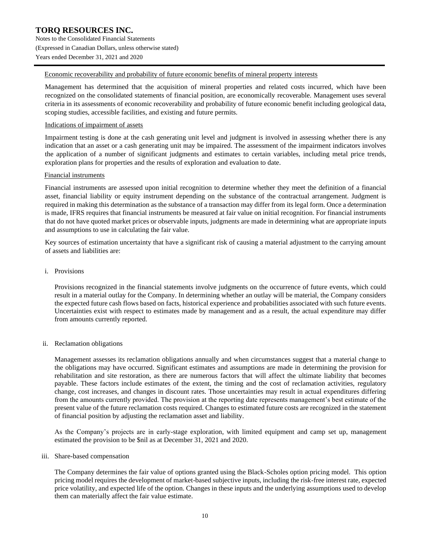### **TORQ RESOURCES INC.** Notes to the Consolidated Financial Statements

(Expressed in Canadian Dollars, unless otherwise stated) Years ended December 31, 2021 and 2020

### Economic recoverability and probability of future economic benefits of mineral property interests

Management has determined that the acquisition of mineral properties and related costs incurred, which have been recognized on the consolidated statements of financial position, are economically recoverable. Management uses several criteria in its assessments of economic recoverability and probability of future economic benefit including geological data, scoping studies, accessible facilities, and existing and future permits.

### Indications of impairment of assets

Impairment testing is done at the cash generating unit level and judgment is involved in assessing whether there is any indication that an asset or a cash generating unit may be impaired. The assessment of the impairment indicators involves the application of a number of significant judgments and estimates to certain variables, including metal price trends, exploration plans for properties and the results of exploration and evaluation to date.

### Financial instruments

Financial instruments are assessed upon initial recognition to determine whether they meet the definition of a financial asset, financial liability or equity instrument depending on the substance of the contractual arrangement. Judgment is required in making this determination as the substance of a transaction may differ from its legal form. Once a determination is made, IFRS requires that financial instruments be measured at fair value on initial recognition. For financial instruments that do not have quoted market prices or observable inputs, judgments are made in determining what are appropriate inputs and assumptions to use in calculating the fair value.

Key sources of estimation uncertainty that have a significant risk of causing a material adjustment to the carrying amount of assets and liabilities are:

### i. Provisions

Provisions recognized in the financial statements involve judgments on the occurrence of future events, which could result in a material outlay for the Company. In determining whether an outlay will be material, the Company considers the expected future cash flows based on facts, historical experience and probabilities associated with such future events. Uncertainties exist with respect to estimates made by management and as a result, the actual expenditure may differ from amounts currently reported.

### ii. Reclamation obligations

 Management assesses its reclamation obligations annually and when circumstances suggest that a material change to the obligations may have occurred. Significant estimates and assumptions are made in determining the provision for rehabilitation and site restoration, as there are numerous factors that will affect the ultimate liability that becomes payable. These factors include estimates of the extent, the timing and the cost of reclamation activities, regulatory change, cost increases, and changes in discount rates. Those uncertainties may result in actual expenditures differing from the amounts currently provided. The provision at the reporting date represents management's best estimate of the present value of the future reclamation costs required. Changes to estimated future costs are recognized in the statement of financial position by adjusting the reclamation asset and liability.

As the Company's projects are in early-stage exploration, with limited equipment and camp set up, management estimated the provision to be \$nil as at December 31, 2021 and 2020.

### iii. Share-based compensation

The Company determines the fair value of options granted using the Black-Scholes option pricing model. This option pricing model requires the development of market-based subjective inputs, including the risk-free interest rate, expected price volatility, and expected life of the option. Changes in these inputs and the underlying assumptions used to develop them can materially affect the fair value estimate.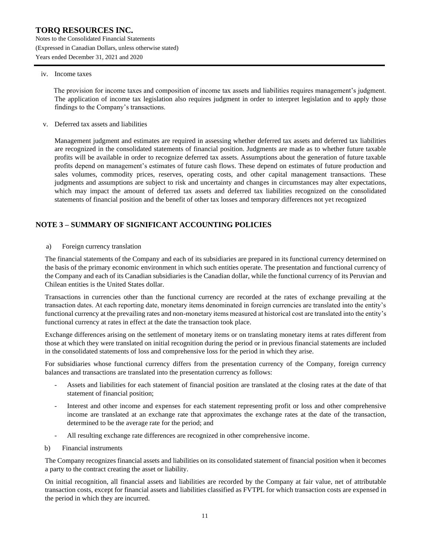Years ended December 31, 2021 and 2020

### iv. Income taxes

The provision for income taxes and composition of income tax assets and liabilities requires management's judgment. The application of income tax legislation also requires judgment in order to interpret legislation and to apply those findings to the Company's transactions.

v. Deferred tax assets and liabilities

Management judgment and estimates are required in assessing whether deferred tax assets and deferred tax liabilities are recognized in the consolidated statements of financial position. Judgments are made as to whether future taxable profits will be available in order to recognize deferred tax assets. Assumptions about the generation of future taxable profits depend on management's estimates of future cash flows. These depend on estimates of future production and sales volumes, commodity prices, reserves, operating costs, and other capital management transactions. These judgments and assumptions are subject to risk and uncertainty and changes in circumstances may alter expectations, which may impact the amount of deferred tax assets and deferred tax liabilities recognized on the consolidated statements of financial position and the benefit of other tax losses and temporary differences not yet recognized

# **NOTE 3 – SUMMARY OF SIGNIFICANT ACCOUNTING POLICIES**

a) Foreign currency translation

The financial statements of the Company and each of its subsidiaries are prepared in its functional currency determined on the basis of the primary economic environment in which such entities operate. The presentation and functional currency of the Company and each of its Canadian subsidiaries is the Canadian dollar, while the functional currency of its Peruvian and Chilean entities is the United States dollar.

Transactions in currencies other than the functional currency are recorded at the rates of exchange prevailing at the transaction dates. At each reporting date, monetary items denominated in foreign currencies are translated into the entity's functional currency at the prevailing rates and non-monetary items measured at historical cost are translated into the entity's functional currency at rates in effect at the date the transaction took place.

Exchange differences arising on the settlement of monetary items or on translating monetary items at rates different from those at which they were translated on initial recognition during the period or in previous financial statements are included in the consolidated statements of loss and comprehensive loss for the period in which they arise.

For subsidiaries whose functional currency differs from the presentation currency of the Company, foreign currency balances and transactions are translated into the presentation currency as follows:

- Assets and liabilities for each statement of financial position are translated at the closing rates at the date of that statement of financial position;
- Interest and other income and expenses for each statement representing profit or loss and other comprehensive income are translated at an exchange rate that approximates the exchange rates at the date of the transaction, determined to be the average rate for the period; and
- All resulting exchange rate differences are recognized in other comprehensive income.
- b) Financial instruments

The Company recognizes financial assets and liabilities on its consolidated statement of financial position when it becomes a party to the contract creating the asset or liability.

On initial recognition, all financial assets and liabilities are recorded by the Company at fair value, net of attributable transaction costs, except for financial assets and liabilities classified as FVTPL for which transaction costs are expensed in the period in which they are incurred.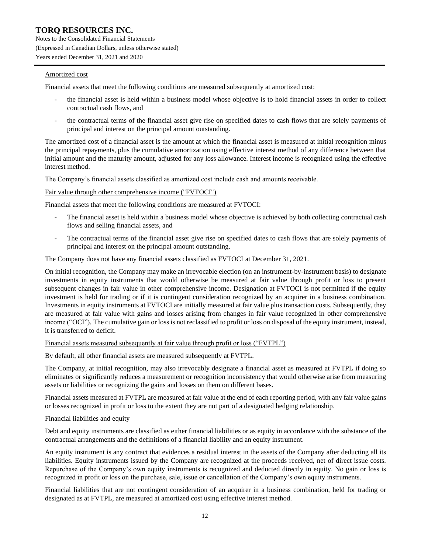Notes to the Consolidated Financial Statements (Expressed in Canadian Dollars, unless otherwise stated) Years ended December 31, 2021 and 2020

### Amortized cost

Financial assets that meet the following conditions are measured subsequently at amortized cost:

- the financial asset is held within a business model whose objective is to hold financial assets in order to collect contractual cash flows, and
- the contractual terms of the financial asset give rise on specified dates to cash flows that are solely payments of principal and interest on the principal amount outstanding.

The amortized cost of a financial asset is the amount at which the financial asset is measured at initial recognition minus the principal repayments, plus the cumulative amortization using effective interest method of any difference between that initial amount and the maturity amount, adjusted for any loss allowance. Interest income is recognized using the effective interest method.

The Company's financial assets classified as amortized cost include cash and amounts receivable.

### Fair value through other comprehensive income ("FVTOCI")

Financial assets that meet the following conditions are measured at FVTOCI:

- The financial asset is held within a business model whose objective is achieved by both collecting contractual cash flows and selling financial assets, and
- The contractual terms of the financial asset give rise on specified dates to cash flows that are solely payments of principal and interest on the principal amount outstanding.

The Company does not have any financial assets classified as FVTOCI at December 31, 2021.

On initial recognition, the Company may make an irrevocable election (on an instrument-by-instrument basis) to designate investments in equity instruments that would otherwise be measured at fair value through profit or loss to present subsequent changes in fair value in other comprehensive income. Designation at FVTOCI is not permitted if the equity investment is held for trading or if it is contingent consideration recognized by an acquirer in a business combination. Investments in equity instruments at FVTOCI are initially measured at fair value plus transaction costs. Subsequently, they are measured at fair value with gains and losses arising from changes in fair value recognized in other comprehensive income ("OCI"). The cumulative gain or loss is not reclassified to profit or loss on disposal of the equity instrument, instead, it is transferred to deficit.

Financial assets measured subsequently at fair value through profit or loss ("FVTPL")

By default, all other financial assets are measured subsequently at FVTPL.

The Company, at initial recognition, may also irrevocably designate a financial asset as measured at FVTPL if doing so eliminates or significantly reduces a measurement or recognition inconsistency that would otherwise arise from measuring assets or liabilities or recognizing the gains and losses on them on different bases.

Financial assets measured at FVTPL are measured at fair value at the end of each reporting period, with any fair value gains or losses recognized in profit or loss to the extent they are not part of a designated hedging relationship.

### Financial liabilities and equity

Debt and equity instruments are classified as either financial liabilities or as equity in accordance with the substance of the contractual arrangements and the definitions of a financial liability and an equity instrument.

An equity instrument is any contract that evidences a residual interest in the assets of the Company after deducting all its liabilities. Equity instruments issued by the Company are recognized at the proceeds received, net of direct issue costs. Repurchase of the Company's own equity instruments is recognized and deducted directly in equity. No gain or loss is recognized in profit or loss on the purchase, sale, issue or cancellation of the Company's own equity instruments.

Financial liabilities that are not contingent consideration of an acquirer in a business combination, held for trading or designated as at FVTPL, are measured at amortized cost using effective interest method.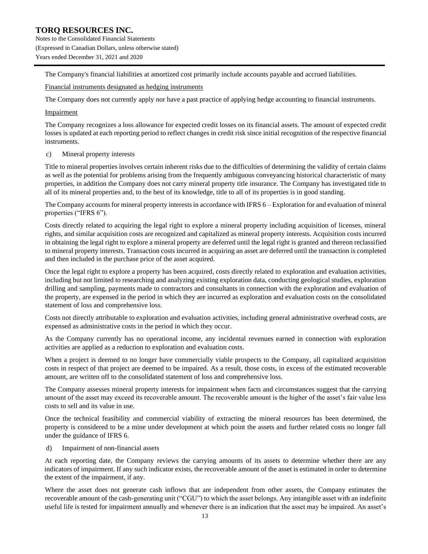Notes to the Consolidated Financial Statements (Expressed in Canadian Dollars, unless otherwise stated) Years ended December 31, 2021 and 2020

The Company's financial liabilities at amortized cost primarily include accounts payable and accrued liabilities.

### Financial instruments designated as hedging instruments

The Company does not currently apply nor have a past practice of applying hedge accounting to financial instruments.

### Impairment

The Company recognizes a loss allowance for expected credit losses on its financial assets. The amount of expected credit losses is updated at each reporting period to reflect changes in credit risk since initial recognition of the respective financial instruments.

### c) Mineral property interests

Title to mineral properties involves certain inherent risks due to the difficulties of determining the validity of certain claims as well as the potential for problems arising from the frequently ambiguous conveyancing historical characteristic of many properties, in addition the Company does not carry mineral property title insurance. The Company has investigated title to all of its mineral properties and, to the best of its knowledge, title to all of its properties is in good standing.

The Company accounts for mineral property interests in accordance with IFRS 6 – Exploration for and evaluation of mineral properties ("IFRS 6").

Costs directly related to acquiring the legal right to explore a mineral property including acquisition of licenses, mineral rights, and similar acquisition costs are recognized and capitalized as mineral property interests. Acquisition costs incurred in obtaining the legal right to explore a mineral property are deferred until the legal right is granted and thereon reclassified to mineral property interests. Transaction costs incurred in acquiring an asset are deferred until the transaction is completed and then included in the purchase price of the asset acquired.

Once the legal right to explore a property has been acquired, costs directly related to exploration and evaluation activities, including but not limited to researching and analyzing existing exploration data, conducting geological studies, exploration drilling and sampling, payments made to contractors and consultants in connection with the exploration and evaluation of the property, are expensed in the period in which they are incurred as exploration and evaluation costs on the consolidated statement of loss and comprehensive loss.

Costs not directly attributable to exploration and evaluation activities, including general administrative overhead costs, are expensed as administrative costs in the period in which they occur.

As the Company currently has no operational income, any incidental revenues earned in connection with exploration activities are applied as a reduction to exploration and evaluation costs.

When a project is deemed to no longer have commercially viable prospects to the Company, all capitalized acquisition costs in respect of that project are deemed to be impaired. As a result, those costs, in excess of the estimated recoverable amount, are written off to the consolidated statement of loss and comprehensive loss.

The Company assesses mineral property interests for impairment when facts and circumstances suggest that the carrying amount of the asset may exceed its recoverable amount. The recoverable amount is the higher of the asset's fair value less costs to sell and its value in use.

Once the technical feasibility and commercial viability of extracting the mineral resources has been determined, the property is considered to be a mine under development at which point the assets and further related costs no longer fall under the guidance of IFRS 6.

d) Impairment of non-financial assets

At each reporting date, the Company reviews the carrying amounts of its assets to determine whether there are any indicators of impairment. If any such indicator exists, the recoverable amount of the asset is estimated in order to determine the extent of the impairment, if any.

Where the asset does not generate cash inflows that are independent from other assets, the Company estimates the recoverable amount of the cash-generating unit ("CGU") to which the asset belongs. Any intangible asset with an indefinite useful life is tested for impairment annually and whenever there is an indication that the asset may be impaired. An asset's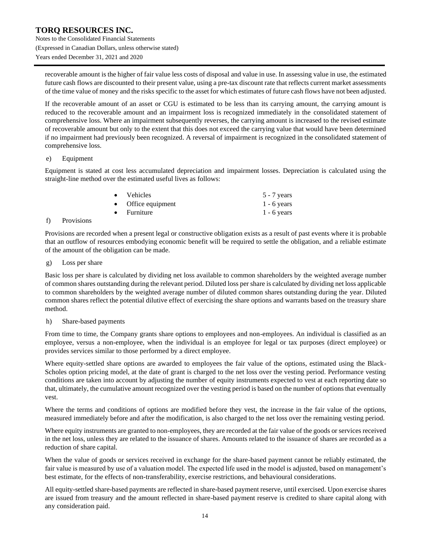Notes to the Consolidated Financial Statements (Expressed in Canadian Dollars, unless otherwise stated) Years ended December 31, 2021 and 2020

recoverable amount is the higher of fair value less costs of disposal and value in use. In assessing value in use, the estimated future cash flows are discounted to their present value, using a pre-tax discount rate that reflects current market assessments of the time value of money and the risks specific to the asset for which estimates of future cash flows have not been adjusted.

If the recoverable amount of an asset or CGU is estimated to be less than its carrying amount, the carrying amount is reduced to the recoverable amount and an impairment loss is recognized immediately in the consolidated statement of comprehensive loss. Where an impairment subsequently reverses, the carrying amount is increased to the revised estimate of recoverable amount but only to the extent that this does not exceed the carrying value that would have been determined if no impairment had previously been recognized. A reversal of impairment is recognized in the consolidated statement of comprehensive loss.

### e) Equipment

Equipment is stated at cost less accumulated depreciation and impairment losses. Depreciation is calculated using the straight-line method over the estimated useful lives as follows:

| • Vehicles                 | $5 - 7$ years |
|----------------------------|---------------|
| $\bullet$ Office equipment | $1 - 6$ years |
| $\bullet$ Furniture        | $1 - 6$ years |

### f) Provisions

Provisions are recorded when a present legal or constructive obligation exists as a result of past events where it is probable that an outflow of resources embodying economic benefit will be required to settle the obligation, and a reliable estimate of the amount of the obligation can be made.

### g) Loss per share

Basic loss per share is calculated by dividing net loss available to common shareholders by the weighted average number of common shares outstanding during the relevant period. Diluted loss per share is calculated by dividing net loss applicable to common shareholders by the weighted average number of diluted common shares outstanding during the year. Diluted common shares reflect the potential dilutive effect of exercising the share options and warrants based on the treasury share method.

### h) Share-based payments

From time to time, the Company grants share options to employees and non-employees. An individual is classified as an employee, versus a non-employee, when the individual is an employee for legal or tax purposes (direct employee) or provides services similar to those performed by a direct employee.

Where equity-settled share options are awarded to employees the fair value of the options, estimated using the Black-Scholes option pricing model, at the date of grant is charged to the net loss over the vesting period. Performance vesting conditions are taken into account by adjusting the number of equity instruments expected to vest at each reporting date so that, ultimately, the cumulative amount recognized over the vesting period is based on the number of options that eventually vest.

Where the terms and conditions of options are modified before they vest, the increase in the fair value of the options, measured immediately before and after the modification, is also charged to the net loss over the remaining vesting period.

Where equity instruments are granted to non-employees, they are recorded at the fair value of the goods or services received in the net loss, unless they are related to the issuance of shares. Amounts related to the issuance of shares are recorded as a reduction of share capital.

When the value of goods or services received in exchange for the share-based payment cannot be reliably estimated, the fair value is measured by use of a valuation model. The expected life used in the model is adjusted, based on management's best estimate, for the effects of non-transferability, exercise restrictions, and behavioural considerations.

All equity-settled share-based payments are reflected in share-based payment reserve, until exercised. Upon exercise shares are issued from treasury and the amount reflected in share-based payment reserve is credited to share capital along with any consideration paid.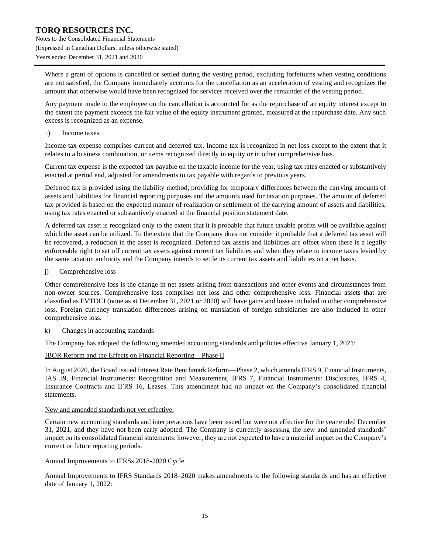Notes to the Consolidated Financial Statements (Expressed in Canadian Dollars, unless otherwise stated) Years ended December 31, 2021 and 2020

Where a grant of options is cancelled or settled during the vesting period, excluding forfeitures when vesting conditions are not satisfied, the Company immediately accounts for the cancellation as an acceleration of vesting and recognizes the amount that otherwise would have been recognized for services received over the remainder of the vesting period.

Any payment made to the employee on the cancellation is accounted for as the repurchase of an equity interest except to the extent the payment exceeds the fair value of the equity instrument granted, measured at the repurchase date. Any such excess is recognized as an expense.

### i) Income taxes

Income tax expense comprises current and deferred tax. Income tax is recognized in net loss except to the extent that it relates to a business combination, or items recognized directly in equity or in other comprehensive loss.

Current tax expense is the expected tax payable on the taxable income for the year, using tax rates enacted or substantively enacted at period end, adjusted for amendments to tax payable with regards to previous years.

Deferred tax is provided using the liability method, providing for temporary differences between the carrying amounts of assets and liabilities for financial reporting purposes and the amounts used for taxation purposes. The amount of deferred tax provided is based on the expected manner of realization or settlement of the carrying amount of assets and liabilities, using tax rates enacted or substantively enacted at the financial position statement date.

A deferred tax asset is recognized only to the extent that it is probable that future taxable profits will be available against which the asset can be utilized. To the extent that the Company does not consider it probable that a deferred tax asset will be recovered, a reduction in the asset is recognized. Deferred tax assets and liabilities are offset when there is a legally enforceable right to set off current tax assets against current tax liabilities and when they relate to income taxes levied by the same taxation authority and the Company intends to settle its current tax assets and liabilities on a net basis.

j) Comprehensive loss

Other comprehensive loss is the change in net assets arising from transactions and other events and circumstances from non-owner sources. Comprehensive loss comprises net loss and other comprehensive loss. Financial assets that are classified as FVTOCI (none as at December 31, 2021 or 2020) will have gains and losses included in other comprehensive loss. Foreign currency translation differences arising on translation of foreign subsidiaries are also included in other comprehensive loss.

k) Changes in accounting standards

The Company has adopted the following amended accounting standards and policies effective January 1, 2021:

### IBOR Reform and the Effects on Financial Reporting – Phase II

In August 2020, the Board issued Interest Rate Benchmark Reform—Phase 2, which amends IFRS 9, Financial Instruments, IAS 39, Financial Instruments: Recognition and Measurement, IFRS 7, Financial Instruments: Disclosures, IFRS 4, Insurance Contracts and IFRS 16, Leases. This amendment had no impact on the Company's consolidated financial statements.

### New and amended standards not yet effective:

Certain new accounting standards and interpretations have been issued but were not effective for the year ended December 31, 2021, and they have not been early adopted. The Company is currently assessing the new and amended standards' impact on its consolidated financial statements; however, they are not expected to have a material impact on the Company's current or future reporting periods.

### Annual Improvements to IFRSs 2018-2020 Cycle

Annual Improvements to IFRS Standards 2018–2020 makes amendments to the following standards and has an effective date of January 1, 2022: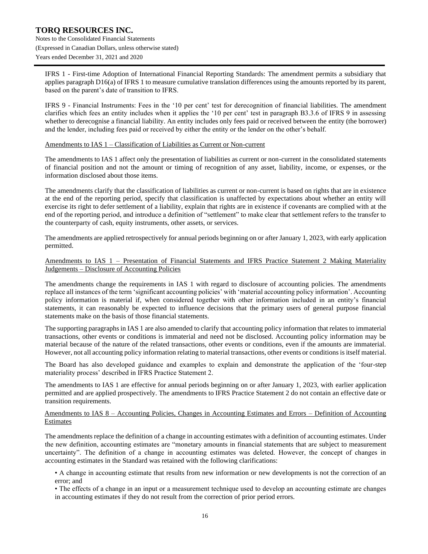Notes to the Consolidated Financial Statements (Expressed in Canadian Dollars, unless otherwise stated) Years ended December 31, 2021 and 2020

IFRS 1 - First-time Adoption of International Financial Reporting Standards: The amendment permits a subsidiary that applies paragraph D16(a) of IFRS 1 to measure cumulative translation differences using the amounts reported by its parent, based on the parent's date of transition to IFRS.

IFRS 9 - Financial Instruments: Fees in the '10 per cent' test for derecognition of financial liabilities. The amendment clarifies which fees an entity includes when it applies the '10 per cent' test in paragraph B3.3.6 of IFRS 9 in assessing whether to derecognise a financial liability. An entity includes only fees paid or received between the entity (the borrower) and the lender, including fees paid or received by either the entity or the lender on the other's behalf.

### Amendments to IAS 1 – Classification of Liabilities as Current or Non-current

The amendments to IAS 1 affect only the presentation of liabilities as current or non-current in the consolidated statements of financial position and not the amount or timing of recognition of any asset, liability, income, or expenses, or the information disclosed about those items.

The amendments clarify that the classification of liabilities as current or non-current is based on rights that are in existence at the end of the reporting period, specify that classification is unaffected by expectations about whether an entity will exercise its right to defer settlement of a liability, explain that rights are in existence if covenants are complied with at the end of the reporting period, and introduce a definition of "settlement" to make clear that settlement refers to the transfer to the counterparty of cash, equity instruments, other assets, or services.

The amendments are applied retrospectively for annual periods beginning on or after January 1, 2023, with early application permitted.

### Amendments to IAS 1 – Presentation of Financial Statements and IFRS Practice Statement 2 Making Materiality Judgements – Disclosure of Accounting Policies

The amendments change the requirements in IAS 1 with regard to disclosure of accounting policies. The amendments replace all instances of the term 'significant accounting policies' with 'material accounting policy information'. Accounting policy information is material if, when considered together with other information included in an entity's financial statements, it can reasonably be expected to influence decisions that the primary users of general purpose financial statements make on the basis of those financial statements.

The supporting paragraphs in IAS 1 are also amended to clarify that accounting policy information that relates to immaterial transactions, other events or conditions is immaterial and need not be disclosed. Accounting policy information may be material because of the nature of the related transactions, other events or conditions, even if the amounts are immaterial. However, not all accounting policy information relating to material transactions, other events or conditions is itself material.

The Board has also developed guidance and examples to explain and demonstrate the application of the 'four-step materiality process' described in IFRS Practice Statement 2.

The amendments to IAS 1 are effective for annual periods beginning on or after January 1, 2023, with earlier application permitted and are applied prospectively. The amendments to IFRS Practice Statement 2 do not contain an effective date or transition requirements.

### Amendments to IAS 8 – Accounting Policies, Changes in Accounting Estimates and Errors – Definition of Accounting Estimates

The amendments replace the definition of a change in accounting estimates with a definition of accounting estimates. Under the new definition, accounting estimates are "monetary amounts in financial statements that are subject to measurement uncertainty". The definition of a change in accounting estimates was deleted. However, the concept of changes in accounting estimates in the Standard was retained with the following clarifications:

• A change in accounting estimate that results from new information or new developments is not the correction of an error; and

• The effects of a change in an input or a measurement technique used to develop an accounting estimate are changes in accounting estimates if they do not result from the correction of prior period errors.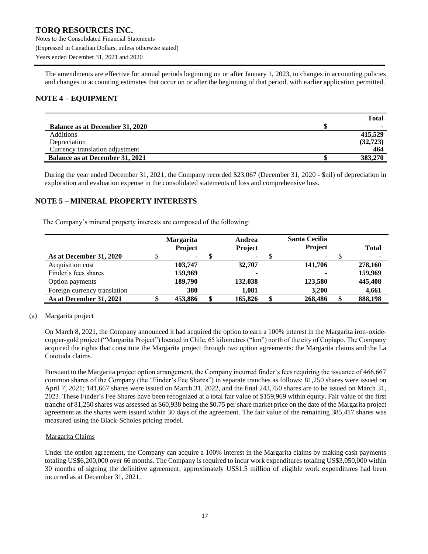Notes to the Consolidated Financial Statements (Expressed in Canadian Dollars, unless otherwise stated) Years ended December 31, 2021 and 2020

The amendments are effective for annual periods beginning on or after January 1, 2023, to changes in accounting policies and changes in accounting estimates that occur on or after the beginning of that period, with earlier application permitted.

# **NOTE 4 – EQUIPMENT**

|                                        | Total    |
|----------------------------------------|----------|
| <b>Balance as at December 31, 2020</b> |          |
| <b>Additions</b>                       | 415.529  |
| Depreciation                           | (32,723) |
| Currency translation adjustment        | 464      |
| Balance as at December 31, 2021        | 383,270  |

During the year ended December 31, 2021, the Company recorded \$23,067 (December 31, 2020 - \$nil) of depreciation in exploration and evaluation expense in the consolidated statements of loss and comprehensive loss.

### **NOTE 5 – MINERAL PROPERTY INTERESTS**

The Company's mineral property interests are composed of the following:

|                              | <b>Margarita</b><br><b>Project</b> | Andrea<br><b>Project</b> | <b>Santa Cecilia</b><br><b>Project</b> | <b>Total</b>  |
|------------------------------|------------------------------------|--------------------------|----------------------------------------|---------------|
| As at December 31, 2020      | -                                  |                          |                                        |               |
| Acquisition cost             | 103,747                            | 32,707                   | 141,706                                | 278,160       |
| Finder's fees shares         | 159,969                            |                          |                                        | 159,969       |
| Option payments              | 189,790                            | 132,038                  | 123,580                                | 445,408       |
| Foreign currency translation | 380                                | 1,081                    | 3,200                                  | 4,661         |
| As at December 31, 2021      | 453,886                            | 165,826                  | 268,486                                | \$<br>888,198 |

### (a) Margarita project

On March 8, 2021, the Company announced it had acquired the option to earn a 100% interest in the Margarita iron-oxidecopper-gold project ("Margarita Project") located in Chile, 65 kilometres ("km") north of the city of Copiapo. The Company acquired the rights that constitute the Margarita project through two option agreements: the Margarita claims and the La Cototuda claims.

Pursuant to the Margarita project option arrangement, the Company incurred finder's fees requiring the issuance of 466,667 common shares of the Company (the "Finder's Fee Shares") in separate tranches as follows: 81,250 shares were issued on April 7, 2021; 141,667 shares were issued on March 31, 2022, and the final 243,750 shares are to be issued on March 31, 2023. These Finder's Fee Shares have been recognized at a total fair value of \$159,969 within equity. Fair value of the first tranche of 81,250 shares was assessed as \$60,938 being the \$0.75 per share market price on the date of the Margarita project agreement as the shares were issued within 30 days of the agreement. The fair value of the remaining 385,417 shares was measured using the Black-Scholes pricing model.

### Margarita Claims

Under the option agreement, the Company can acquire a 100% interest in the Margarita claims by making cash payments totaling US\$6,200,000 over 66 months. The Company is required to incur work expenditures totaling US\$3,050,000 within 30 months of signing the definitive agreement, approximately US\$1.5 million of eligible work expenditures had been incurred as at December 31, 2021.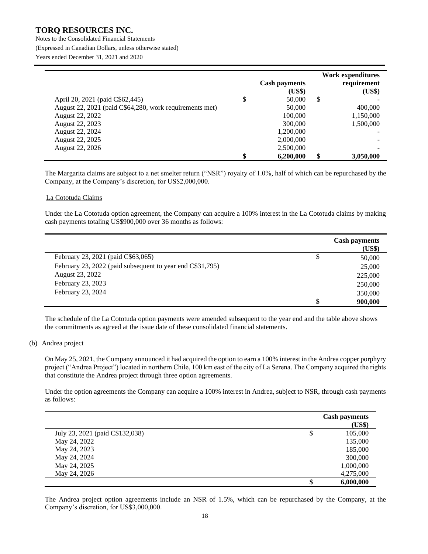Notes to the Consolidated Financial Statements (Expressed in Canadian Dollars, unless otherwise stated) Years ended December 31, 2021 and 2020

|                                                         |   | <b>Cash payments</b><br>(US\$) | Work expenditures<br>requirement<br>(US\$) |
|---------------------------------------------------------|---|--------------------------------|--------------------------------------------|
| April 20, 2021 (paid C\$62,445)                         | S | 50,000                         | \$                                         |
| August 22, 2021 (paid C\$64,280, work requirements met) |   | 50,000                         | 400,000                                    |
| August 22, 2022                                         |   | 100,000                        | 1,150,000                                  |
| August 22, 2023                                         |   | 300,000                        | 1,500,000                                  |
| August 22, 2024                                         |   | 1,200,000                      |                                            |
| August 22, 2025                                         |   | 2,000,000                      |                                            |
| August 22, 2026                                         |   | 2,500,000                      |                                            |
|                                                         |   | 6,200,000                      | \$<br>3,050,000                            |

The Margarita claims are subject to a net smelter return ("NSR") royalty of 1.0%, half of which can be repurchased by the Company, at the Company's discretion, for US\$2,000,000.

### La Cototuda Claims

Under the La Cototuda option agreement, the Company can acquire a 100% interest in the La Cototuda claims by making cash payments totaling US\$900,000 over 36 months as follows:

|                                                           | <b>Cash payments</b><br>(US\$) |
|-----------------------------------------------------------|--------------------------------|
| February 23, 2021 (paid C\$63,065)                        | 50,000                         |
| February 23, 2022 (paid subsequent to year end C\$31,795) | 25,000                         |
| August 23, 2022                                           | 225,000                        |
| February 23, 2023                                         | 250,000                        |
| February 23, 2024                                         | 350,000                        |
|                                                           | 900,000                        |

The schedule of the La Cototuda option payments were amended subsequent to the year end and the table above shows the commitments as agreed at the issue date of these consolidated financial statements.

### (b) Andrea project

On May 25, 2021, the Company announced it had acquired the option to earn a 100% interest in the Andrea copper porphyry project ("Andrea Project") located in northern Chile, 100 km east of the city of La Serena. The Company acquired the rights that constitute the Andrea project through three option agreements.

Under the option agreements the Company can acquire a 100% interest in Andrea, subject to NSR, through cash payments as follows:

|                                 | <b>Cash payments</b> |
|---------------------------------|----------------------|
|                                 | (US\$)               |
| July 23, 2021 (paid C\$132,038) | \$<br>105,000        |
| May 24, 2022                    | 135,000              |
| May 24, 2023                    | 185,000              |
| May 24, 2024                    | 300,000              |
| May 24, 2025                    | 1,000,000            |
| May 24, 2026                    | 4,275,000            |
|                                 | \$<br>6,000,000      |

The Andrea project option agreements include an NSR of 1.5%, which can be repurchased by the Company, at the Company's discretion, for US\$3,000,000.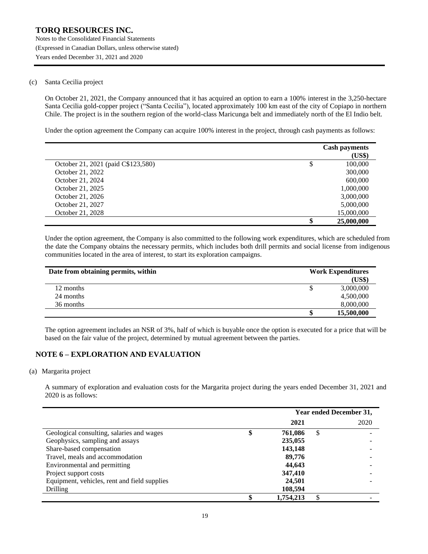### (c) Santa Cecilia project

On October 21, 2021, the Company announced that it has acquired an option to earn a 100% interest in the 3,250-hectare Santa Cecilia gold-copper project ("Santa Cecilia"), located approximately 100 km east of the city of Copiapo in northern Chile. The project is in the southern region of the world-class Maricunga belt and immediately north of the El Indio belt.

Under the option agreement the Company can acquire 100% interest in the project, through cash payments as follows:

|                                    | <b>Cash payments</b> |
|------------------------------------|----------------------|
|                                    | (US\$)               |
| October 21, 2021 (paid C\$123,580) | \$<br>100,000        |
| October 21, 2022                   | 300,000              |
| October 21, 2024                   | 600,000              |
| October 21, 2025                   | 1,000,000            |
| October 21, 2026                   | 3,000,000            |
| October 21, 2027                   | 5,000,000            |
| October 21, 2028                   | 15,000,000           |
|                                    | \$<br>25,000,000     |

Under the option agreement, the Company is also committed to the following work expenditures, which are scheduled from the date the Company obtains the necessary permits, which includes both drill permits and social license from indigenous communities located in the area of interest, to start its exploration campaigns.

| Date from obtaining permits, within | <b>Work Expenditures</b><br>(US\$) |
|-------------------------------------|------------------------------------|
| 12 months                           | \$<br>3,000,000                    |
| 24 months                           | 4,500,000                          |
| 36 months                           | 8,000,000                          |
|                                     | \$<br>15,500,000                   |

The option agreement includes an NSR of 3%, half of which is buyable once the option is executed for a price that will be based on the fair value of the project, determined by mutual agreement between the parties.

### **NOTE 6 – EXPLORATION AND EVALUATION**

#### (a) Margarita project

A summary of exploration and evaluation costs for the Margarita project during the years ended December 31, 2021 and 2020 is as follows:

|                                              | <b>Year ended December 31,</b> |   |      |  |
|----------------------------------------------|--------------------------------|---|------|--|
|                                              | 2021                           |   | 2020 |  |
| Geological consulting, salaries and wages    | \$<br>761,086                  | S |      |  |
| Geophysics, sampling and assays              | 235,055                        |   |      |  |
| Share-based compensation                     | 143,148                        |   |      |  |
| Travel, meals and accommodation              | 89,776                         |   |      |  |
| Environmental and permitting                 | 44,643                         |   |      |  |
| Project support costs                        | 347,410                        |   |      |  |
| Equipment, vehicles, rent and field supplies | 24,501                         |   |      |  |
| <b>Drilling</b>                              | 108,594                        |   |      |  |
|                                              | 1,754,213                      |   |      |  |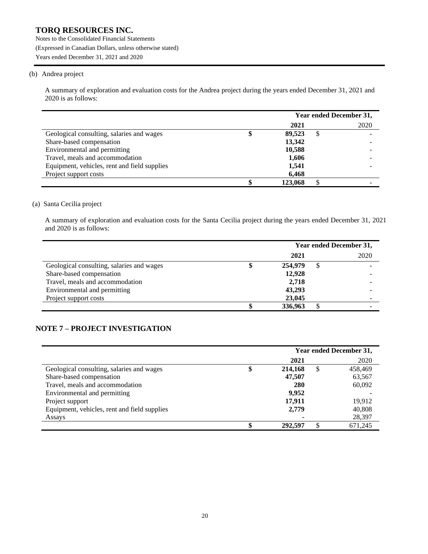Notes to the Consolidated Financial Statements (Expressed in Canadian Dollars, unless otherwise stated) Years ended December 31, 2021 and 2020

### (b) Andrea project

A summary of exploration and evaluation costs for the Andrea project during the years ended December 31, 2021 and 2020 is as follows:

|                                              | Year ended December 31, |    |      |  |
|----------------------------------------------|-------------------------|----|------|--|
|                                              | 2021                    |    | 2020 |  |
| Geological consulting, salaries and wages    | 89.523                  | ъD |      |  |
| Share-based compensation                     | 13,342                  |    |      |  |
| Environmental and permitting                 | 10,588                  |    |      |  |
| Travel, meals and accommodation              | 1,606                   |    |      |  |
| Equipment, vehicles, rent and field supplies | 1,541                   |    |      |  |
| Project support costs                        | 6.468                   |    |      |  |
|                                              | 123,068                 |    |      |  |

### (a) Santa Cecilia project

A summary of exploration and evaluation costs for the Santa Cecilia project during the years ended December 31, 2021 and 2020 is as follows:

|                                           | Year ended December 31, |  |      |  |
|-------------------------------------------|-------------------------|--|------|--|
|                                           | 2021                    |  | 2020 |  |
| Geological consulting, salaries and wages | 254,979                 |  |      |  |
| Share-based compensation                  | 12,928                  |  |      |  |
| Travel, meals and accommodation           | 2,718                   |  |      |  |
| Environmental and permitting              | 43,293                  |  |      |  |
| Project support costs                     | 23,045                  |  |      |  |
|                                           | 336,963                 |  |      |  |

# **NOTE 7 – PROJECT INVESTIGATION**

|                                              |   | Year ended December 31, |    |         |  |
|----------------------------------------------|---|-------------------------|----|---------|--|
|                                              |   | 2021                    |    | 2020    |  |
| Geological consulting, salaries and wages    | Φ | 214,168                 | -S | 458,469 |  |
| Share-based compensation                     |   | 47,507                  |    | 63,567  |  |
| Travel, meals and accommodation              |   | 280                     |    | 60,092  |  |
| Environmental and permitting                 |   | 9,952                   |    |         |  |
| Project support                              |   | 17,911                  |    | 19,912  |  |
| Equipment, vehicles, rent and field supplies |   | 2,779                   |    | 40,808  |  |
| Assays                                       |   |                         |    | 28,397  |  |
|                                              |   | 292,597                 |    | 671,245 |  |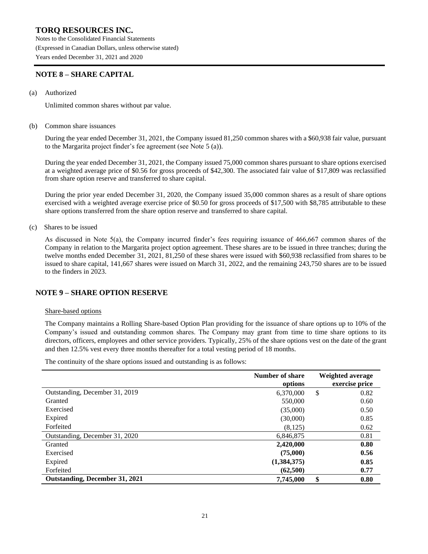Notes to the Consolidated Financial Statements (Expressed in Canadian Dollars, unless otherwise stated) Years ended December 31, 2021 and 2020

### **NOTE 8 – SHARE CAPITAL**

### (a) Authorized

Unlimited common shares without par value.

### (b) Common share issuances

During the year ended December 31, 2021, the Company issued 81,250 common shares with a \$60,938 fair value, pursuant to the Margarita project finder's fee agreement (see Note 5 (a)).

During the year ended December 31, 2021, the Company issued 75,000 common shares pursuant to share options exercised at a weighted average price of \$0.56 for gross proceeds of \$42,300. The associated fair value of \$17,809 was reclassified from share option reserve and transferred to share capital.

During the prior year ended December 31, 2020, the Company issued 35,000 common shares as a result of share options exercised with a weighted average exercise price of \$0.50 for gross proceeds of \$17,500 with \$8,785 attributable to these share options transferred from the share option reserve and transferred to share capital.

### (c) Shares to be issued

As discussed in Note 5(a), the Company incurred finder's fees requiring issuance of 466,667 common shares of the Company in relation to the Margarita project option agreement. These shares are to be issued in three tranches; during the twelve months ended December 31, 2021, 81,250 of these shares were issued with \$60,938 reclassified from shares to be issued to share capital, 141,667 shares were issued on March 31, 2022, and the remaining 243,750 shares are to be issued to the finders in 2023.

### **NOTE 9 – SHARE OPTION RESERVE**

### Share-based options

The Company maintains a Rolling Share-based Option Plan providing for the issuance of share options up to 10% of the Company's issued and outstanding common shares. The Company may grant from time to time share options to its directors, officers, employees and other service providers. Typically, 25% of the share options vest on the date of the grant and then 12.5% vest every three months thereafter for a total vesting period of 18 months.

The continuity of the share options issued and outstanding is as follows:

|                                | <b>Number of share</b><br>options | Weighted average<br>exercise price |
|--------------------------------|-----------------------------------|------------------------------------|
|                                |                                   |                                    |
| Outstanding, December 31, 2019 | 6,370,000                         | \$<br>0.82                         |
| Granted                        | 550,000                           | 0.60                               |
| Exercised                      | (35,000)                          | 0.50                               |
| Expired                        | (30,000)                          | 0.85                               |
| Forfeited                      | (8, 125)                          | 0.62                               |
| Outstanding, December 31, 2020 | 6.846.875                         | 0.81                               |
| Granted                        | 2,420,000                         | 0.80                               |
| Exercised                      | (75,000)                          | 0.56                               |
| Expired                        | (1,384,375)                       | 0.85                               |
| Forfeited                      | (62,500)                          | 0.77                               |
| Outstanding, December 31, 2021 | 7,745,000                         | \$<br>0.80                         |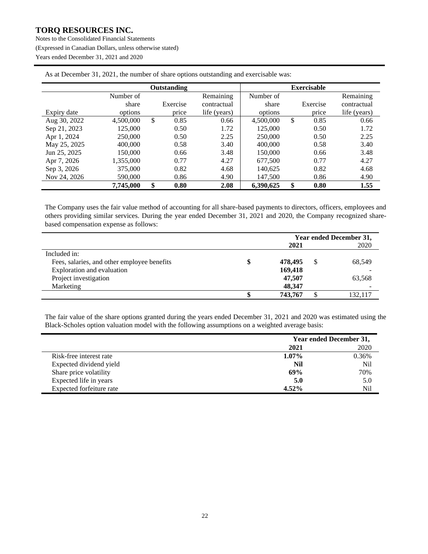Notes to the Consolidated Financial Statements (Expressed in Canadian Dollars, unless otherwise stated) Years ended December 31, 2021 and 2020

| <b>Outstanding</b> |           |    |          | <b>Exercisable</b> |           |            |              |
|--------------------|-----------|----|----------|--------------------|-----------|------------|--------------|
|                    | Number of |    |          | Remaining          | Number of |            | Remaining    |
|                    | share     |    | Exercise | contractual        | share     | Exercise   | contractual  |
| Expiry date        | options   |    | price    | life (years)       | options   | price      | life (years) |
| Aug 30, 2022       | 4,500,000 | \$ | 0.85     | 0.66               | 4,500,000 | \$<br>0.85 | 0.66         |
| Sep 21, 2023       | 125,000   |    | 0.50     | 1.72               | 125,000   | 0.50       | 1.72         |
| Apr 1, 2024        | 250,000   |    | 0.50     | 2.25               | 250,000   | 0.50       | 2.25         |
| May 25, 2025       | 400,000   |    | 0.58     | 3.40               | 400,000   | 0.58       | 3.40         |
| Jun 25, 2025       | 150.000   |    | 0.66     | 3.48               | 150,000   | 0.66       | 3.48         |
| Apr 7, 2026        | 1,355,000 |    | 0.77     | 4.27               | 677,500   | 0.77       | 4.27         |
| Sep 3, 2026        | 375,000   |    | 0.82     | 4.68               | 140.625   | 0.82       | 4.68         |
| Nov 24, 2026       | 590,000   |    | 0.86     | 4.90               | 147,500   | 0.86       | 4.90         |
|                    | 7,745,000 | \$ | 0.80     | 2.08               | 6.390.625 | \$<br>0.80 | 1.55         |

As at December 31, 2021, the number of share options outstanding and exercisable was:

The Company uses the fair value method of accounting for all share-based payments to directors, officers, employees and others providing similar services. During the year ended December 31, 2021 and 2020, the Company recognized sharebased compensation expense as follows:

|                                             | <b>Year ended December 31,</b> |    |                          |  |
|---------------------------------------------|--------------------------------|----|--------------------------|--|
|                                             | 2021                           |    | 2020                     |  |
| Included in:                                |                                |    |                          |  |
| Fees, salaries, and other employee benefits | \$<br>478,495                  | S  | 68,549                   |  |
| Exploration and evaluation                  | 169,418                        |    | $\overline{\phantom{0}}$ |  |
| Project investigation                       | 47.507                         |    | 63,568                   |  |
| Marketing                                   | 48,347                         |    | ۰                        |  |
|                                             | 743,767                        | \$ | 132.117                  |  |

The fair value of the share options granted during the years ended December 31, 2021 and 2020 was estimated using the Black-Scholes option valuation model with the following assumptions on a weighted average basis:

|                          |          | Year ended December 31, |  |  |
|--------------------------|----------|-------------------------|--|--|
|                          | 2021     | 2020                    |  |  |
| Risk-free interest rate  | $1.07\%$ | 0.36%                   |  |  |
| Expected dividend yield  | Nil      | Nil                     |  |  |
| Share price volatility   | 69%      | 70%                     |  |  |
| Expected life in years   | 5.0      | 5.0                     |  |  |
| Expected forfeiture rate | $4.52\%$ | Nil                     |  |  |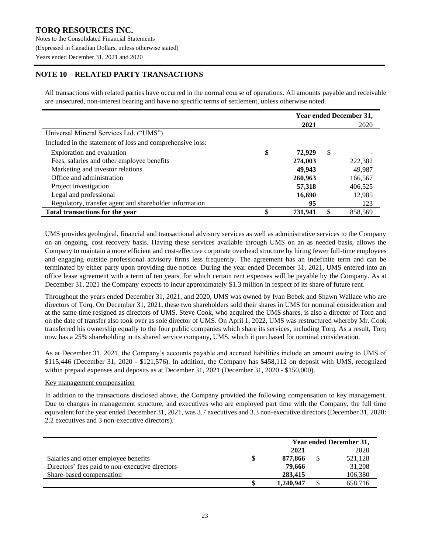Notes to the Consolidated Financial Statements (Expressed in Canadian Dollars, unless otherwise stated) Years ended December 31, 2021 and 2020

# **NOTE 10 – RELATED PARTY TRANSACTIONS**

All transactions with related parties have occurred in the normal course of operations. All amounts payable and receivable are unsecured, non-interest bearing and have no specific terms of settlement, unless otherwise noted.

|                                                           | <b>Year ended December 31,</b> |   |         |  |
|-----------------------------------------------------------|--------------------------------|---|---------|--|
|                                                           | 2021                           |   | 2020    |  |
| Universal Mineral Services Ltd. ("UMS")                   |                                |   |         |  |
| Included in the statement of loss and comprehensive loss: |                                |   |         |  |
| Exploration and evaluation                                | \$<br>72.929                   | S |         |  |
| Fees, salaries and other employee benefits                | 274,003                        |   | 222,382 |  |
| Marketing and investor relations                          | 49,943                         |   | 49,987  |  |
| Office and administration                                 | 260,963                        |   | 166,567 |  |
| Project investigation                                     | 57,318                         |   | 406,525 |  |
| Legal and professional                                    | 16,690                         |   | 12,985  |  |
| Regulatory, transfer agent and shareholder information    | 95                             |   | 123     |  |
| <b>Total transactions for the year</b>                    | 731,941                        |   | 858,569 |  |

UMS provides geological, financial and transactional advisory services as well as administrative services to the Company on an ongoing, cost recovery basis. Having these services available through UMS on an as needed basis, allows the Company to maintain a more efficient and cost-effective corporate overhead structure by hiring fewer full-time employees and engaging outside professional advisory firms less frequently. The agreement has an indefinite term and can be terminated by either party upon providing due notice. During the year ended December 31, 2021, UMS entered into an office lease agreement with a term of ten years, for which certain rent expenses will be payable by the Company. As at December 31, 2021 the Company expects to incur approximately \$1.3 million in respect of its share of future rent.

Throughout the years ended December 31, 2021, and 2020, UMS was owned by Ivan Bebek and Shawn Wallace who are directors of Torq. On December 31, 2021, these two shareholders sold their shares in UMS for nominal consideration and at the same time resigned as directors of UMS. Steve Cook, who acquired the UMS shares, is also a director of Torq and on the date of transfer also took over as sole director of UMS. On April 1, 2022, UMS was restructured whereby Mr. Cook transferred his ownership equally to the four public companies which share its services, including Torq. As a result, Torq now has a 25% shareholding in its shared service company, UMS, which it purchased for nominal consideration.

As at December 31, 2021, the Company's accounts payable and accrued liabilities include an amount owing to UMS of \$115,446 (December 31, 2020 - \$121,576). In addition, the Company has \$458,112 on deposit with UMS, recognized within prepaid expenses and deposits as at December 31, 2021 (December 31, 2020 - \$150,000).

### Key management compensation

In addition to the transactions disclosed above, the Company provided the following compensation to key management. Due to changes in management structure, and executives who are employed part time with the Company, the full time equivalent for the year ended December 31, 2021, was 3.7 executives and 3.3 non-executive directors (December 31, 2020: 2.2 executives and 3 non-executive directors).

|                                                 |              |  | Year ended December 31, |  |
|-------------------------------------------------|--------------|--|-------------------------|--|
|                                                 | 2020<br>2021 |  |                         |  |
| Salaries and other employee benefits            | 877,866      |  | 521,128                 |  |
| Directors' fees paid to non-executive directors | 79,666       |  | 31,208                  |  |
| Share-based compensation                        | 283,415      |  | 106,380                 |  |
|                                                 | 1,240,947    |  | 658,716                 |  |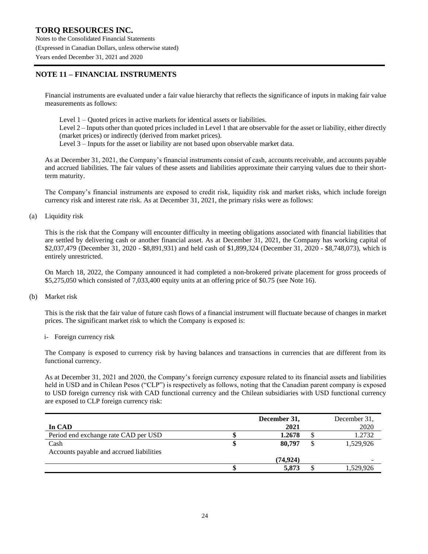Notes to the Consolidated Financial Statements (Expressed in Canadian Dollars, unless otherwise stated) Years ended December 31, 2021 and 2020

# **NOTE 11 – FINANCIAL INSTRUMENTS**

Financial instruments are evaluated under a fair value hierarchy that reflects the significance of inputs in making fair value measurements as follows:

Level 1 – Quoted prices in active markets for identical assets or liabilities. Level 2 – Inputs other than quoted prices included in Level 1 that are observable for the asset or liability, either directly (market prices) or indirectly (derived from market prices). Level 3 – Inputs for the asset or liability are not based upon observable market data.

As at December 31, 2021, the Company's financial instruments consist of cash, accounts receivable, and accounts payable and accrued liabilities. The fair values of these assets and liabilities approximate their carrying values due to their shortterm maturity.

The Company's financial instruments are exposed to credit risk, liquidity risk and market risks, which include foreign currency risk and interest rate risk. As at December 31, 2021, the primary risks were as follows:

(a) Liquidity risk

This is the risk that the Company will encounter difficulty in meeting obligations associated with financial liabilities that are settled by delivering cash or another financial asset. As at December 31, 2021, the Company has working capital of \$2,037,479 (December 31, 2020 - \$8,891,931) and held cash of \$1,899,324 (December 31, 2020 - \$8,748,073), which is entirely unrestricted.

On March 18, 2022, the Company announced it had completed a non-brokered private placement for gross proceeds of \$5,275,050 which consisted of 7,033,400 equity units at an offering price of \$0.75 (see Note 16).

(b) Market risk

This is the risk that the fair value of future cash flows of a financial instrument will fluctuate because of changes in market prices. The significant market risk to which the Company is exposed is:

i- Foreign currency risk

The Company is exposed to currency risk by having balances and transactions in currencies that are different from its functional currency.

As at December 31, 2021 and 2020, the Company's foreign currency exposure related to its financial assets and liabilities held in USD and in Chilean Pesos ("CLP") is respectively as follows, noting that the Canadian parent company is exposed to USD foreign currency risk with CAD functional currency and the Chilean subsidiaries with USD functional currency are exposed to CLP foreign currency risk:

|                                          | December 31, | December 31, |
|------------------------------------------|--------------|--------------|
| In CAD                                   | 2021         | 2020         |
| Period end exchange rate CAD per USD     | 1.2678       | 1.2732       |
| Cash                                     | 80,797       | 1,529,926    |
| Accounts payable and accrued liabilities |              |              |
|                                          | (74.924)     |              |
|                                          | 5,873        | 1,529,926    |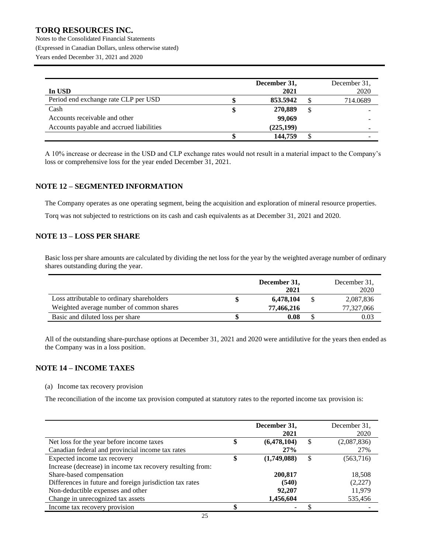Notes to the Consolidated Financial Statements (Expressed in Canadian Dollars, unless otherwise stated) Years ended December 31, 2021 and 2020

| In USD                                   | December 31,<br>2021 | December 31,<br>2020 |
|------------------------------------------|----------------------|----------------------|
| Period end exchange rate CLP per USD     | 853.5942             | 714.0689             |
| Cash                                     | 270,889              | \$                   |
| Accounts receivable and other            | 99,069               |                      |
| Accounts payable and accrued liabilities | (225, 199)           |                      |
|                                          | 144,759              |                      |

A 10% increase or decrease in the USD and CLP exchange rates would not result in a material impact to the Company's loss or comprehensive loss for the year ended December 31, 2021.

# **NOTE 12 – SEGMENTED INFORMATION**

The Company operates as one operating segment, being the acquisition and exploration of mineral resource properties.

Torq was not subjected to restrictions on its cash and cash equivalents as at December 31, 2021 and 2020.

# **NOTE 13 – LOSS PER SHARE**

Basic loss per share amounts are calculated by dividing the net loss for the year by the weighted average number of ordinary shares outstanding during the year.

|                                            | December 31, | December 31, |
|--------------------------------------------|--------------|--------------|
|                                            | 2021         | 2020         |
| Loss attributable to ordinary shareholders | 6,478,104    | 2,087,836    |
| Weighted average number of common shares   | 77.466.216   | 77,327,066   |
| Basic and diluted loss per share           | 0.08         | 0.03         |

All of the outstanding share-purchase options at December 31, 2021 and 2020 were antidilutive for the years then ended as the Company was in a loss position.

# **NOTE 14 – INCOME TAXES**

(a) Income tax recovery provision

The reconciliation of the income tax provision computed at statutory rates to the reported income tax provision is:

|                                                            | December 31,<br>2021 | December 31,<br>2020 |
|------------------------------------------------------------|----------------------|----------------------|
| Net loss for the year before income taxes                  | \$<br>(6,478,104)    | \$<br>(2,087,836)    |
| Canadian federal and provincial income tax rates           | 27%                  | 27%                  |
| Expected income tax recovery                               | \$<br>(1,749,088)    | \$<br>(563,716)      |
| Increase (decrease) in income tax recovery resulting from: |                      |                      |
| Share-based compensation                                   | 200,817              | 18,508               |
| Differences in future and foreign jurisdiction tax rates   | (540)                | (2,227)              |
| Non-deductible expenses and other                          | 92,207               | 11.979               |
| Change in unrecognized tax assets                          | 1,456,604            | 535,456              |
| Income tax recovery provision                              |                      |                      |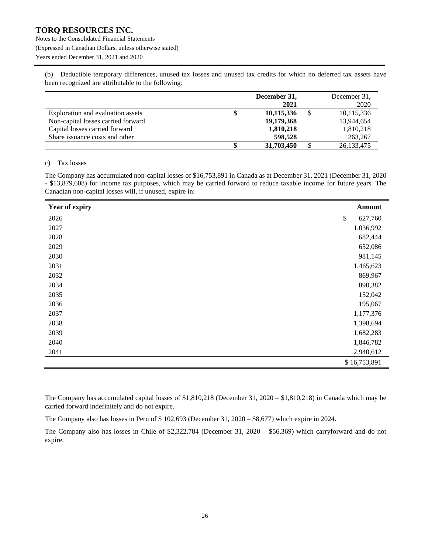Notes to the Consolidated Financial Statements (Expressed in Canadian Dollars, unless otherwise stated) Years ended December 31, 2021 and 2020

(b) Deductible temporary differences, unused tax losses and unused tax credits for which no deferred tax assets have been recognized are attributable to the following:

|                                    |    | December 31, | December 31. |
|------------------------------------|----|--------------|--------------|
|                                    |    | 2021         | 2020         |
| Exploration and evaluation assets  | \$ | 10,115,336   | 10,115,336   |
| Non-capital losses carried forward |    | 19,179,368   | 13,944,654   |
| Capital losses carried forward     |    | 1,810,218    | 1,810,218    |
| Share issuance costs and other     |    | 598,528      | 263,267      |
|                                    | S  | 31,703,450   | 26, 133, 475 |

c) Tax losses

The Company has accumulated non-capital losses of \$16,753,891 in Canada as at December 31, 2021 (December 31, 2020 - \$13,879,608) for income tax purposes, which may be carried forward to reduce taxable income for future years. The Canadian non-capital losses will, if unused, expire in:

| Year of expiry | Amount        |
|----------------|---------------|
| 2026           | \$<br>627,760 |
| 2027           | 1,036,992     |
| 2028           | 682,444       |
| 2029           | 652,086       |
| 2030           | 981,145       |
| 2031           | 1,465,623     |
| 2032           | 869,967       |
| 2034           | 890,382       |
| 2035           | 152,042       |
| 2036           | 195,067       |
| 2037           | 1,177,376     |
| 2038           | 1,398,694     |
| 2039           | 1,682,283     |
| 2040           | 1,846,782     |
| 2041           | 2,940,612     |
|                | \$16,753,891  |

The Company has accumulated capital losses of \$1,810,218 (December 31, 2020 – \$1,810,218) in Canada which may be carried forward indefinitely and do not expire.

The Company also has losses in Peru of \$ 102,693 (December 31, 2020 – \$8,677) which expire in 2024.

The Company also has losses in Chile of \$2,322,784 (December 31, 2020 – \$56,369) which carryforward and do not expire.